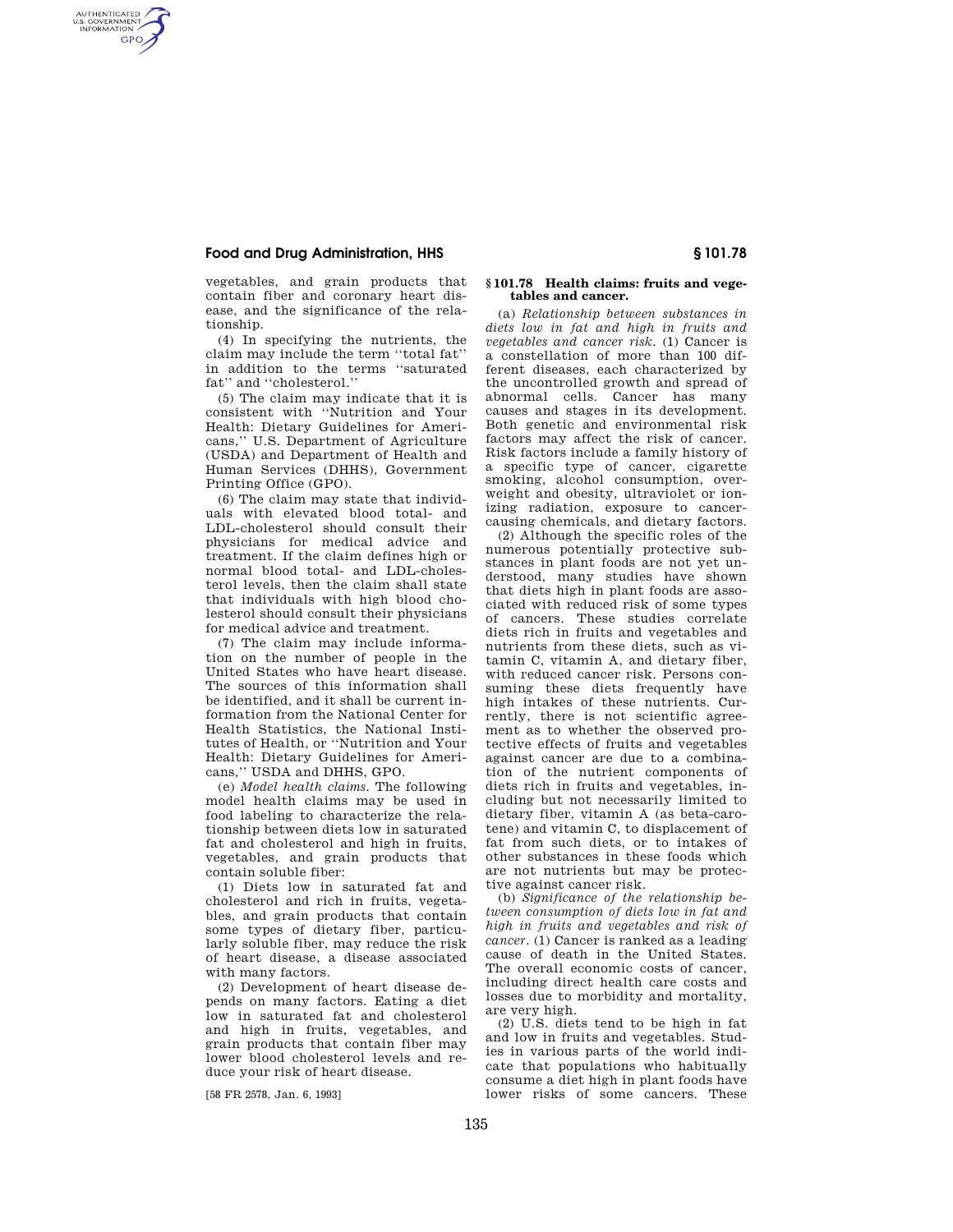## **Food and Drug Administration, HHS § 101.78**

AUTHENTICATED<br>U.S. GOVERNMENT<br>INFORMATION **GPO** 

vegetables, and grain products that contain fiber and coronary heart disease, and the significance of the relationship.

(4) In specifying the nutrients, the claim may include the term ''total fat'' in addition to the terms ''saturated fat'' and ''cholesterol.''

(5) The claim may indicate that it is consistent with ''Nutrition and Your Health: Dietary Guidelines for Americans,'' U.S. Department of Agriculture (USDA) and Department of Health and Human Services (DHHS), Government Printing Office (GPO).

(6) The claim may state that individuals with elevated blood total- and LDL-cholesterol should consult their physicians for medical advice and treatment. If the claim defines high or normal blood total- and LDL-cholesterol levels, then the claim shall state that individuals with high blood cholesterol should consult their physicians for medical advice and treatment.

(7) The claim may include information on the number of people in the United States who have heart disease. The sources of this information shall be identified, and it shall be current information from the National Center for Health Statistics, the National Institutes of Health, or ''Nutrition and Your Health: Dietary Guidelines for Americans,'' USDA and DHHS, GPO.

(e) *Model health claims.* The following model health claims may be used in food labeling to characterize the relationship between diets low in saturated fat and cholesterol and high in fruits, vegetables, and grain products that contain soluble fiber:

(1) Diets low in saturated fat and cholesterol and rich in fruits, vegetables, and grain products that contain some types of dietary fiber, particularly soluble fiber, may reduce the risk of heart disease, a disease associated with many factors.

(2) Development of heart disease depends on many factors. Eating a diet low in saturated fat and cholesterol and high in fruits, vegetables, and grain products that contain fiber may lower blood cholesterol levels and reduce your risk of heart disease.

[58 FR 2578, Jan. 6, 1993]

## **§ 101.78 Health claims: fruits and vegetables and cancer.**

(a) *Relationship between substances in diets low in fat and high in fruits and vegetables and cancer risk.* (1) Cancer is a constellation of more than 100 different diseases, each characterized by the uncontrolled growth and spread of abnormal cells. Cancer has many causes and stages in its development. Both genetic and environmental risk factors may affect the risk of cancer. Risk factors include a family history of a specific type of cancer, cigarette smoking, alcohol consumption, overweight and obesity, ultraviolet or ionizing radiation, exposure to cancercausing chemicals, and dietary factors.

(2) Although the specific roles of the numerous potentially protective substances in plant foods are not yet understood, many studies have shown that diets high in plant foods are associated with reduced risk of some types of cancers. These studies correlate diets rich in fruits and vegetables and nutrients from these diets, such as vitamin C, vitamin A, and dietary fiber, with reduced cancer risk. Persons consuming these diets frequently have high intakes of these nutrients. Currently, there is not scientific agreement as to whether the observed protective effects of fruits and vegetables against cancer are due to a combination of the nutrient components of diets rich in fruits and vegetables, including but not necessarily limited to dietary fiber, vitamin A (as beta-carotene) and vitamin C, to displacement of fat from such diets, or to intakes of other substances in these foods which are not nutrients but may be protective against cancer risk.

(b) *Significance of the relationship between consumption of diets low in fat and high in fruits and vegetables and risk of cancer.* (1) Cancer is ranked as a leading cause of death in the United States. The overall economic costs of cancer, including direct health care costs and losses due to morbidity and mortality, are very high.

(2) U.S. diets tend to be high in fat and low in fruits and vegetables. Studies in various parts of the world indicate that populations who habitually consume a diet high in plant foods have lower risks of some cancers. These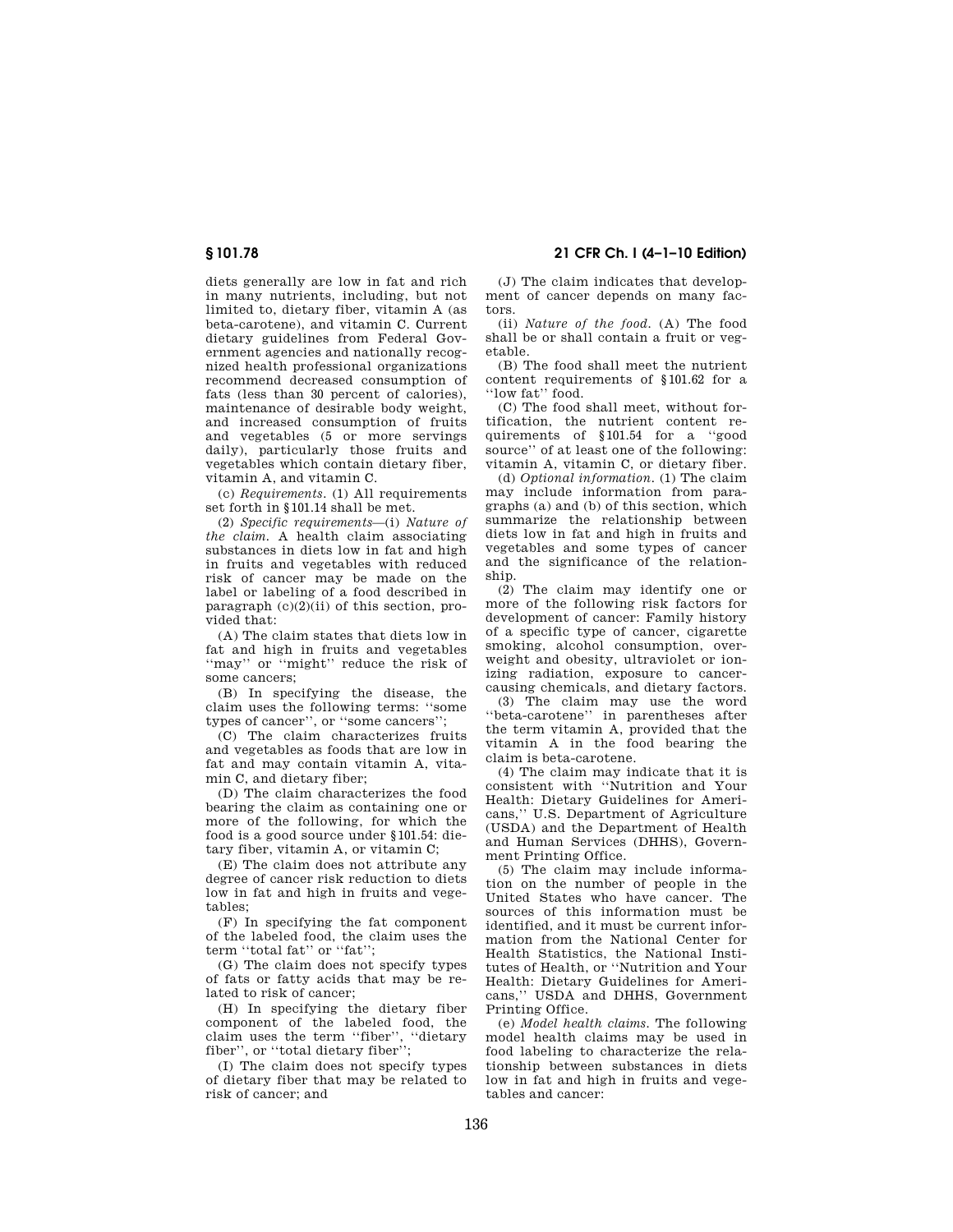diets generally are low in fat and rich in many nutrients, including, but not limited to, dietary fiber, vitamin A (as beta-carotene), and vitamin C. Current dietary guidelines from Federal Government agencies and nationally recognized health professional organizations recommend decreased consumption of fats (less than 30 percent of calories), maintenance of desirable body weight, and increased consumption of fruits and vegetables (5 or more servings daily), particularly those fruits and vegetables which contain dietary fiber, vitamin A, and vitamin C.

(c) *Requirements.* (1) All requirements set forth in §101.14 shall be met.

(2) *Specific requirements*—(i) *Nature of the claim.* A health claim associating substances in diets low in fat and high in fruits and vegetables with reduced risk of cancer may be made on the label or labeling of a food described in paragraph (c)(2)(ii) of this section, provided that:

(A) The claim states that diets low in fat and high in fruits and vegetables ''may'' or ''might'' reduce the risk of some cancers;

(B) In specifying the disease, the claim uses the following terms: ''some types of cancer'', or ''some cancers'';

(C) The claim characterizes fruits and vegetables as foods that are low in fat and may contain vitamin A, vitamin C, and dietary fiber;

(D) The claim characterizes the food bearing the claim as containing one or more of the following, for which the food is a good source under §101.54: dietary fiber, vitamin A, or vitamin C;

(E) The claim does not attribute any degree of cancer risk reduction to diets low in fat and high in fruits and vegetables;

(F) In specifying the fat component of the labeled food, the claim uses the term ''total fat'' or ''fat'';

(G) The claim does not specify types of fats or fatty acids that may be related to risk of cancer;

(H) In specifying the dietary fiber component of the labeled food, the claim uses the term ''fiber'', ''dietary fiber'', or ''total dietary fiber'';

(I) The claim does not specify types of dietary fiber that may be related to risk of cancer; and

(J) The claim indicates that development of cancer depends on many factors.

(ii) *Nature of the food.* (A) The food shall be or shall contain a fruit or vegetable.

(B) The food shall meet the nutrient content requirements of §101.62 for a "low fat" food.

(C) The food shall meet, without fortification, the nutrient content requirements of §101.54 for a ''good source'' of at least one of the following: vitamin A, vitamin C, or dietary fiber.

(d) *Optional information.* (1) The claim may include information from paragraphs (a) and (b) of this section, which summarize the relationship between diets low in fat and high in fruits and vegetables and some types of cancer and the significance of the relationship.

(2) The claim may identify one or more of the following risk factors for development of cancer: Family history of a specific type of cancer, cigarette smoking, alcohol consumption, overweight and obesity, ultraviolet or ionizing radiation, exposure to cancercausing chemicals, and dietary factors.

(3) The claim may use the word ''beta-carotene'' in parentheses after the term vitamin A, provided that the vitamin A in the food bearing the claim is beta-carotene.

(4) The claim may indicate that it is consistent with ''Nutrition and Your Health: Dietary Guidelines for Americans,'' U.S. Department of Agriculture (USDA) and the Department of Health and Human Services (DHHS), Government Printing Office.

(5) The claim may include information on the number of people in the United States who have cancer. The sources of this information must be identified, and it must be current information from the National Center for Health Statistics, the National Institutes of Health, or ''Nutrition and Your Health: Dietary Guidelines for Americans,'' USDA and DHHS, Government Printing Office.

(e) *Model health claims.* The following model health claims may be used in food labeling to characterize the relationship between substances in diets low in fat and high in fruits and vegetables and cancer: